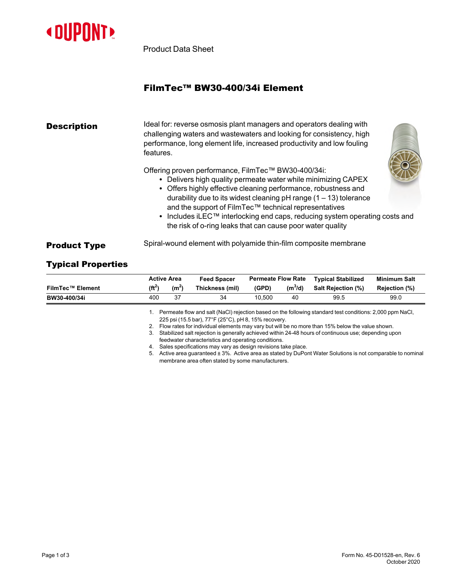

Product Data Sheet

## FilmTec™ BW30-400/34i Element

| <b>Description</b>  | Ideal for: reverse osmosis plant managers and operators dealing with<br>challenging waters and wastewaters and looking for consistency, high<br>performance, long element life, increased productivity and low fouling<br>features.                                                                                                                                                                                                                                             |  |  |  |  |  |
|---------------------|---------------------------------------------------------------------------------------------------------------------------------------------------------------------------------------------------------------------------------------------------------------------------------------------------------------------------------------------------------------------------------------------------------------------------------------------------------------------------------|--|--|--|--|--|
|                     | Offering proven performance, FilmTec™ BW30-400/34i:<br>• Delivers high quality permeate water while minimizing CAPEX<br>• Offers highly effective cleaning performance, robustness and<br>durability due to its widest cleaning $pH$ range (1 – 13) tolerance<br>and the support of FilmTec™ technical representatives<br>• Includes iLEC <sup>™</sup> interlocking end caps, reducing system operating costs and<br>the risk of o-ring leaks that can cause poor water quality |  |  |  |  |  |
| <b>Product Type</b> | Spiral-wound element with polyamide thin-film composite membrane                                                                                                                                                                                                                                                                                                                                                                                                                |  |  |  |  |  |

## Typical Properties

|                         |                                                                                                 | <b>Active Area</b>                                                                                                                                               | <b>Feed Spacer</b>                                            | <b>Permeate Flow Rate</b> |           | <b>Typical Stabilized</b> | <b>Minimum Salt</b> |  |  |
|-------------------------|-------------------------------------------------------------------------------------------------|------------------------------------------------------------------------------------------------------------------------------------------------------------------|---------------------------------------------------------------|---------------------------|-----------|---------------------------|---------------------|--|--|
| <b>FilmTec™ Element</b> | $(f t^2)$                                                                                       | (m <sup>2</sup> )                                                                                                                                                | Thickness (mil)                                               | (GPD)                     | $(m^3/d)$ | Salt Rejection (%)        | Rejection (%)       |  |  |
| BW30-400/34i            | 400                                                                                             | 37                                                                                                                                                               | 34                                                            | 10.500                    | 40        | 99.5                      | 99.0                |  |  |
|                         |                                                                                                 | Permeate flow and salt (NaCl) rejection based on the following standard test conditions: 2,000 ppm NaCl,<br>225 psi (15.5 bar), 77°F (25°C), pH 8, 15% recovery. |                                                               |                           |           |                           |                     |  |  |
|                         | Flow rates for individual elements may vary but will be no more than 15% below the value shown. |                                                                                                                                                                  |                                                               |                           |           |                           |                     |  |  |
|                         | 3.                                                                                              | Stabilized salt rejection is generally achieved within 24-48 hours of continuous use; depending upon                                                             |                                                               |                           |           |                           |                     |  |  |
|                         |                                                                                                 | feedwater characteristics and operating conditions.                                                                                                              |                                                               |                           |           |                           |                     |  |  |
|                         | 4.                                                                                              |                                                                                                                                                                  | Sales specifications may vary as design revisions take place. |                           |           |                           |                     |  |  |

5. Active area guaranteed ± 3%. Active area as stated by DuPont Water Solutions is not comparable to nominal membrane area often stated by some manufacturers.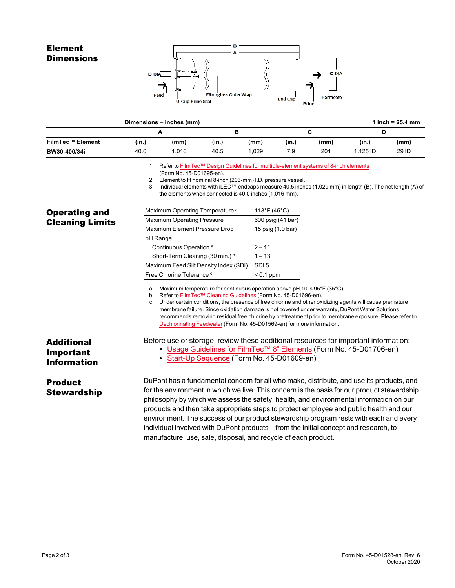## Element **Dimensions**



|                                                  |       | Dimensions - inches (mm) |       |       |       |      |          | 1 inch = $25.4$ mm |
|--------------------------------------------------|-------|--------------------------|-------|-------|-------|------|----------|--------------------|
|                                                  |       | A                        |       |       |       |      |          |                    |
| <b>FilmTec™ Element</b>                          | (in.) | (mm)                     | (in.) | (mm)  | (in.) | (mm) | (in.)    | (mm)               |
| BW30-400/34i<br><u> The Common School (1989)</u> | 40.0  | 1.016                    | 40.5  | 1.029 | 7.9   | 201  | 1.125 ID | 29 ID              |

1. Refer to FilmTec™ Design Guidelines for [multiple-element](https://www.dupont.com/content/dam/dupont/amer/us/en/water-solutions/public/documents/en/RO-NF-FilmTec-Membrane-Sys-Design-Guidelines-8inch-Manual-Exc-45-D01695-en.pdf) systems of 8-inch elements

(Form No. 45-D01695-en).

2. Element to fit nominal 8-inch (203-mm) I.D. pressure vessel.

3. Individual elements with iLEC™ endcaps measure 40.5 inches (1,029 mm) in length (B). The net length (A) of the elements when connected is 40.0 inches (1,016 mm).

| <b>Operating and</b>                                 | Maximum Operating Temperature <sup>a</sup>                                                                                                                                                          | 113°F (45°C)      |                                                                                                                                                                                                                                                                                                                                                                                                                                                                                   |
|------------------------------------------------------|-----------------------------------------------------------------------------------------------------------------------------------------------------------------------------------------------------|-------------------|-----------------------------------------------------------------------------------------------------------------------------------------------------------------------------------------------------------------------------------------------------------------------------------------------------------------------------------------------------------------------------------------------------------------------------------------------------------------------------------|
| <b>Cleaning Limits</b>                               | <b>Maximum Operating Pressure</b>                                                                                                                                                                   | 600 psig (41 bar) |                                                                                                                                                                                                                                                                                                                                                                                                                                                                                   |
|                                                      | Maximum Element Pressure Drop                                                                                                                                                                       | 15 psig (1.0 bar) |                                                                                                                                                                                                                                                                                                                                                                                                                                                                                   |
|                                                      | pH Range                                                                                                                                                                                            |                   |                                                                                                                                                                                                                                                                                                                                                                                                                                                                                   |
|                                                      | Continuous Operation <sup>a</sup>                                                                                                                                                                   | $2 - 11$          |                                                                                                                                                                                                                                                                                                                                                                                                                                                                                   |
| <b>Additional</b><br>Important<br><b>Information</b> | Short-Term Cleaning (30 min.) b                                                                                                                                                                     | $1 - 13$          |                                                                                                                                                                                                                                                                                                                                                                                                                                                                                   |
|                                                      | Maximum Feed Silt Density Index (SDI)                                                                                                                                                               | SDI <sub>5</sub>  |                                                                                                                                                                                                                                                                                                                                                                                                                                                                                   |
|                                                      | Free Chlorine Tolerance c                                                                                                                                                                           | $< 0.1$ ppm       |                                                                                                                                                                                                                                                                                                                                                                                                                                                                                   |
|                                                      | Refer to FilmTec™ Cleaning Guidelines (Form No. 45-D01696-en).<br>b.<br>C.<br>Dechlorinating Feedwater (Form No. 45-D01569-en) for more information.<br>• Start-Up Sequence (Form No. 45-D01609-en) |                   | Under certain conditions, the presence of free chlorine and other oxidizing agents will cause premature<br>membrane failure. Since oxidation damage is not covered under warranty, DuPont Water Solutions<br>recommends removing residual free chlorine by pretreatment prior to membrane exposure. Please refer to<br>Before use or storage, review these additional resources for important information:<br>• Usage Guidelines for FilmTec™ 8" Elements (Form No. 45-D01706-en) |
| <b>Product</b><br><b>Stewardship</b>                 | individual involved with DuPont products—from the initial concept and research, to<br>manufacture, use, sale, disposal, and recycle of each product.                                                |                   | DuPont has a fundamental concern for all who make, distribute, and use its products, and<br>for the environment in which we live. This concern is the basis for our product stewardship<br>philosophy by which we assess the safety, health, and environmental information on our<br>products and then take appropriate steps to protect employee and public health and our<br>environment. The success of our product stewardship program rests with each and every              |